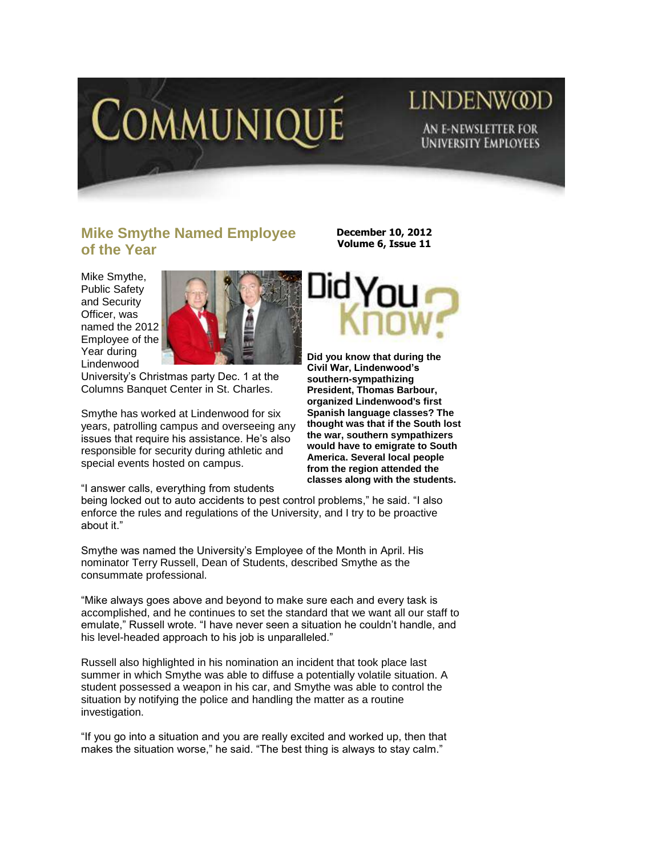

## LINDENW@D AN E-NEWSLETTER FOR **UNIVERSITY EMPLOYEES**

## **Mike Smythe Named Employee of the Year**

Mike Smythe, Public Safety and Security Officer, was named the 2012 Employee of the Year during Lindenwood



University"s Christmas party Dec. 1 at the Columns Banquet Center in St. Charles.

Smythe has worked at Lindenwood for six years, patrolling campus and overseeing any issues that require his assistance. He's also responsible for security during athletic and special events hosted on campus.

"I answer calls, everything from students

being locked out to auto accidents to pest control problems," he said. "I also enforce the rules and regulations of the University, and I try to be proactive about it."

Smythe was named the University"s Employee of the Month in April. His nominator Terry Russell, Dean of Students, described Smythe as the consummate professional.

"Mike always goes above and beyond to make sure each and every task is accomplished, and he continues to set the standard that we want all our staff to emulate," Russell wrote. "I have never seen a situation he couldn"t handle, and his level-headed approach to his job is unparalleled."

Russell also highlighted in his nomination an incident that took place last summer in which Smythe was able to diffuse a potentially volatile situation. A student possessed a weapon in his car, and Smythe was able to control the situation by notifying the police and handling the matter as a routine investigation.

"If you go into a situation and you are really excited and worked up, then that makes the situation worse," he said. "The best thing is always to stay calm."

**December 10, 2012 Volume 6, Issue 11**



**Did you know that during the Civil War, Lindenwood's southern-sympathizing President, Thomas Barbour, organized Lindenwood's first Spanish language classes? The thought was that if the South lost the war, southern sympathizers would have to emigrate to South America. Several local people from the region attended the classes along with the students.**